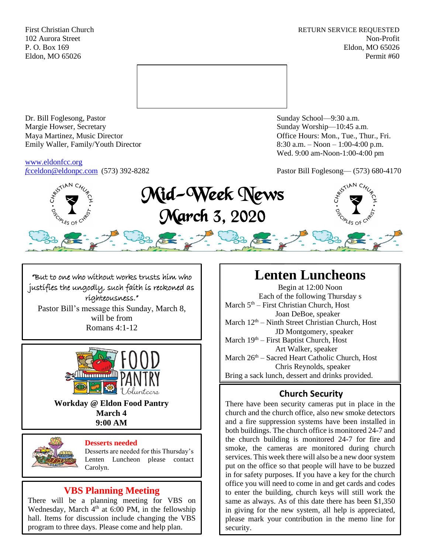First Christian Church **RETURN SERVICE REQUESTED** 102 Aurora Street Non-Profit P. O. Box 169 Eldon, MO 65026 Eldon, MO 65026 Permit #60



Dr. Bill Foglesong, Pastor Sunday School—9:30 a.m. Margie Howser, Secretary Sunday Worship—10:45 a.m. Maya Martinez, Music Director Office Hours: Mon., Tue., Thur., Fri. Emily Waller, Family/Youth Director 8:30 a.m. – Noon – 1:00-4:00 p.m.

[www.eldonfcc.org](http://www.eldonfcc.org/)

Wed. 9:00 am-Noon-1:00-4:00 pm

*f*[cceldon@eldonpc.com](mailto:fcceldon@eldonpc.com) (573) 392-8282 Pastor Bill Foglesong— (573) 680-4170



"But to one who without works trusts him who justifies the ungodly, such faith is reckoned as righteousness." Pastor Bill's message this Sunday, March 8, will be from

Romans 4:1-12



**Workday @ Eldon Food Pantry March 4 9:00 AM**



#### **Desserts needed**

Desserts are needed for this Thursday's Lenten Luncheon please contact Carolyn.

# **VBS Planning Meeting**

There will be a planning meeting for VBS on Wednesday, March 4<sup>th</sup> at 6:00 PM, in the fellowship hall. Items for discussion include changing the VBS program to three days. Please come and help plan.

# **Lenten Luncheons**

Begin at 12:00 Noon Each of the following Thursday s March  $5<sup>th</sup>$  – First Christian Church, Host Joan DeBoe, speaker March  $12<sup>th</sup>$  – Ninth Street Christian Church, Host JD Montgomery, speaker March 19<sup>th</sup> – First Baptist Church, Host Art Walker, speaker March 26<sup>th</sup> – Sacred Heart Catholic Church, Host Chris Reynolds, speaker Bring a sack lunch, dessert and drinks provided.

# **Church Security**

There have been security cameras put in place in the church and the church office, also new smoke detectors and a fire suppression systems have been installed in both buildings. The church office is monitored 24-7 and the church building is monitored 24-7 for fire and smoke, the cameras are monitored during church services. This week there will also be a new door system put on the office so that people will have to be buzzed in for safety purposes. If you have a key for the church office you will need to come in and get cards and codes to enter the building, church keys will still work the same as always. As of this date there has been \$1,350 in giving for the new system, all help is appreciated, please mark your contribution in the memo line for security.